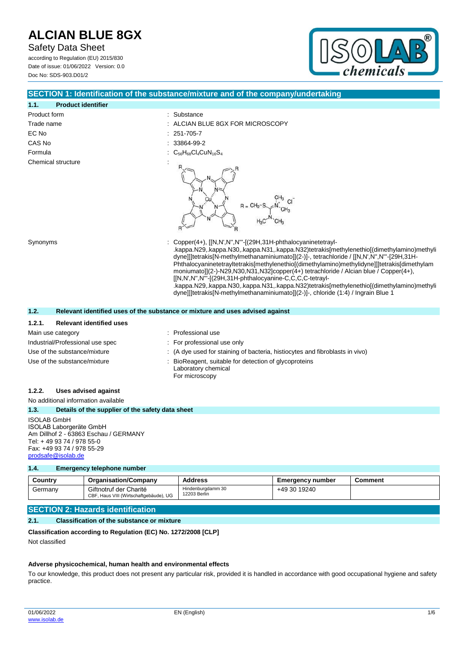Safety Data Sheet according to Regulation (EU) 2015/830 Date of issue: 01/06/2022 Version: 0.0

Doc No: SDS-903.D01/2



# **SECTION 1: Identification of the substance/mixture and of the company/undertaking**

| 1.1.                             | <b>Product identifier</b>       |                                                                                                                                                                                                                                                                                                                                                                                                                                                                                                                                                                                                                                                                                                  |  |
|----------------------------------|---------------------------------|--------------------------------------------------------------------------------------------------------------------------------------------------------------------------------------------------------------------------------------------------------------------------------------------------------------------------------------------------------------------------------------------------------------------------------------------------------------------------------------------------------------------------------------------------------------------------------------------------------------------------------------------------------------------------------------------------|--|
| Product form                     |                                 | : Substance                                                                                                                                                                                                                                                                                                                                                                                                                                                                                                                                                                                                                                                                                      |  |
| Trade name                       |                                 | : ALCIAN BLUE 8GX FOR MICROSCOPY                                                                                                                                                                                                                                                                                                                                                                                                                                                                                                                                                                                                                                                                 |  |
| EC No                            |                                 | 251-705-7                                                                                                                                                                                                                                                                                                                                                                                                                                                                                                                                                                                                                                                                                        |  |
| CAS No                           |                                 | 33864-99-2                                                                                                                                                                                                                                                                                                                                                                                                                                                                                                                                                                                                                                                                                       |  |
| Formula                          |                                 | $C_{56}H_{68}Cl_4CuN_{16}S_4$                                                                                                                                                                                                                                                                                                                                                                                                                                                                                                                                                                                                                                                                    |  |
| Chemical structure               |                                 | $R = CH2$                                                                                                                                                                                                                                                                                                                                                                                                                                                                                                                                                                                                                                                                                        |  |
| Synonyms                         |                                 | : Copper(4+), [[N,N',N'',N'''-[(29H,31H-phthalocyaninetetrayl-<br>.kappa.N29,.kappa.N30,.kappa.N31,.kappa.N32)tetrakis[methylenethio[(dimethylamino)methyli<br>dyne]]]tetrakis[N-methylmethanaminiumato]](2-)]-, tetrachloride / [[N,N',N'',N'''-[29H,31H-<br>Phthalocyaninetetrayltetrakis[methylenethio](dimethylamino)methylidyne]]]tetrakis[dimethylam<br>moniumato]](2-)-N29,N30,N31,N32]copper(4+) tetrachloride / Alcian blue / Copper(4+),<br>[[N,N',N'',N'"-[(29H,31H-phthalocyanine-C,C,C,C-tetrayl-<br>.kappa.N29,.kappa.N30,.kappa.N31,.kappa.N32)tetrakis[methylenethio[(dimethylamino)methyli<br>dyne]][tetrakis[N-methylmethanaminiumato]](2-)]-, chloride (1:4) / Ingrain Blue 1 |  |
| 1.2.                             |                                 | Relevant identified uses of the substance or mixture and uses advised against                                                                                                                                                                                                                                                                                                                                                                                                                                                                                                                                                                                                                    |  |
| 1.2.1.                           | <b>Relevant identified uses</b> |                                                                                                                                                                                                                                                                                                                                                                                                                                                                                                                                                                                                                                                                                                  |  |
|                                  | Main use category               | : Professional use                                                                                                                                                                                                                                                                                                                                                                                                                                                                                                                                                                                                                                                                               |  |
| Industrial/Professional use spec |                                 | : For professional use only                                                                                                                                                                                                                                                                                                                                                                                                                                                                                                                                                                                                                                                                      |  |
| Use of the substance/mixture     |                                 | : (A dye used for staining of bacteria, histiocytes and fibroblasts in vivo)                                                                                                                                                                                                                                                                                                                                                                                                                                                                                                                                                                                                                     |  |
| Use of the substance/mixture     |                                 | : BioReagent, suitable for detection of glycoproteins<br>Laboratory chemical<br>For microscopy                                                                                                                                                                                                                                                                                                                                                                                                                                                                                                                                                                                                   |  |

## **1.2.2. Uses advised against**

No additional information available **1.3. Details of the supplier of the safety data sheet** ISOLAB GmbH ISOLAB Laborgeräte GmbH Am Dillhof 2 - 63863 Eschau / GERMANY Tel: + 49 93 74 / 978 55-0 Fax: +49 93 74 / 978 55-29 [prodsafe@isolab.de](mailto:prodsafe@isolab.de)

### **1.4. Emergency telephone number**

| Country | <b>Organisation/Company</b>                                      | <b>Address</b>                    | <b>Emergency number</b> | Comment |
|---------|------------------------------------------------------------------|-----------------------------------|-------------------------|---------|
| Germany | Giftnotruf der Charité<br>CBF, Haus VIII (Wirtschaftgebäude), UG | Hindenburgdamm 30<br>12203 Berlin | +49 30 19240            |         |

# **SECTION 2: Hazards identification**

# **2.1. Classification of the substance or mixture**

**Classification according to Regulation (EC) No. 1272/2008 [CLP]**

Not classified

### **Adverse physicochemical, human health and environmental effects**

To our knowledge, this product does not present any particular risk, provided it is handled in accordance with good occupational hygiene and safety practice.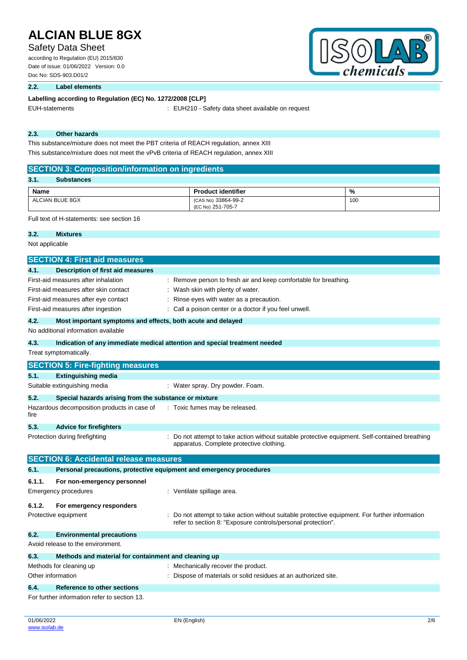# Safety Data Sheet

according to Regulation (EU) 2015/830 Date of issue: 01/06/2022 Version: 0.0 Doc No: SDS-903.D01/2



## **2.2. Label elements**

## Labelling according to Regulation (EC) No. 1272/2008 [CLP]

EUH-statements : EUH210 - Safety data sheet available on request

# **2.3. Other hazards**

This substance/mixture does not meet the PBT criteria of REACH regulation, annex XIII This substance/mixture does not meet the vPvB criteria of REACH regulation, annex XIII

## **SECTION 3: Composition/information on ingredients**

| 3.1.<br><b>Substances</b> |                                          |     |
|---------------------------|------------------------------------------|-----|
| <b>Name</b>               | <b>Product identifier</b>                | %   |
| ALCIAN BLUE 8GX           | (CAS No) 33864-99-2<br>(EC No) 251-705-7 | 100 |

## Full text of H-statements: see section 16

| 3.2.   | <b>Mixtures</b>                                             |                                                                                                                                                                |
|--------|-------------------------------------------------------------|----------------------------------------------------------------------------------------------------------------------------------------------------------------|
|        | Not applicable                                              |                                                                                                                                                                |
|        | <b>SECTION 4: First aid measures</b>                        |                                                                                                                                                                |
| 4.1.   | <b>Description of first aid measures</b>                    |                                                                                                                                                                |
|        | First-aid measures after inhalation                         | Remove person to fresh air and keep comfortable for breathing.                                                                                                 |
|        | First-aid measures after skin contact                       | : Wash skin with plenty of water.                                                                                                                              |
|        | First-aid measures after eye contact                        | Rinse eyes with water as a precaution.                                                                                                                         |
|        | First-aid measures after ingestion                          | Call a poison center or a doctor if you feel unwell.                                                                                                           |
| 4.2.   | Most important symptoms and effects, both acute and delayed |                                                                                                                                                                |
|        | No additional information available                         |                                                                                                                                                                |
| 4.3.   |                                                             | Indication of any immediate medical attention and special treatment needed                                                                                     |
|        | Treat symptomatically.                                      |                                                                                                                                                                |
|        | <b>SECTION 5: Fire-fighting measures</b>                    |                                                                                                                                                                |
| 5.1.   | <b>Extinguishing media</b>                                  |                                                                                                                                                                |
|        | Suitable extinguishing media                                | : Water spray. Dry powder. Foam.                                                                                                                               |
| 5.2.   | Special hazards arising from the substance or mixture       |                                                                                                                                                                |
| fire   | Hazardous decomposition products in case of                 | : Toxic fumes may be released.                                                                                                                                 |
| 5.3.   | <b>Advice for firefighters</b>                              |                                                                                                                                                                |
|        | Protection during firefighting                              | Do not attempt to take action without suitable protective equipment. Self-contained breathing<br>apparatus. Complete protective clothing.                      |
|        | <b>SECTION 6: Accidental release measures</b>               |                                                                                                                                                                |
| 6.1.   |                                                             | Personal precautions, protective equipment and emergency procedures                                                                                            |
| 6.1.1. | For non-emergency personnel                                 |                                                                                                                                                                |
|        | <b>Emergency procedures</b>                                 | : Ventilate spillage area.                                                                                                                                     |
| 6.1.2. | For emergency responders                                    |                                                                                                                                                                |
|        | Protective equipment                                        | : Do not attempt to take action without suitable protective equipment. For further information<br>refer to section 8: "Exposure controls/personal protection". |
| 6.2.   | <b>Environmental precautions</b>                            |                                                                                                                                                                |
|        | Avoid release to the environment.                           |                                                                                                                                                                |
| 6.3.   | Methods and material for containment and cleaning up        |                                                                                                                                                                |
|        | Methods for cleaning up                                     | : Mechanically recover the product.                                                                                                                            |
|        | Other information                                           | Dispose of materials or solid residues at an authorized site.                                                                                                  |
| 6.4.   | <b>Reference to other sections</b>                          |                                                                                                                                                                |
|        | For further information refer to section 13.                |                                                                                                                                                                |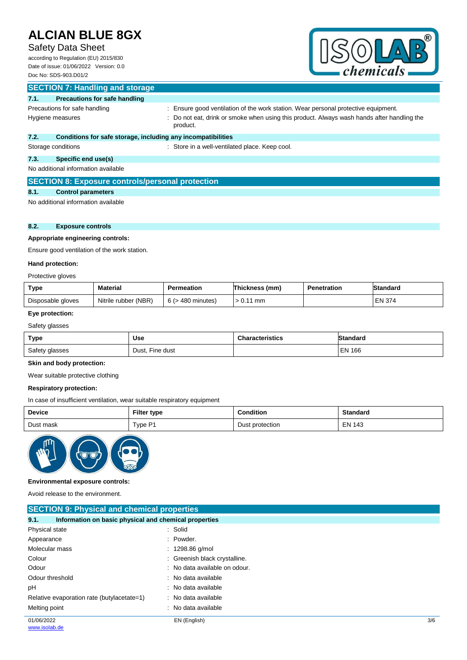# Safety Data Sheet

according to Regulation (EU) 2015/830 Date of issue: 01/06/2022 Version: 0.0 Doc No: SDS-903.D01/2



|      | <b>SECTION 7: Handling and storage</b>                       |                                                                                                        |
|------|--------------------------------------------------------------|--------------------------------------------------------------------------------------------------------|
| 7.1. | <b>Precautions for safe handling</b>                         |                                                                                                        |
|      | Precautions for safe handling                                | : Ensure good ventilation of the work station. Wear personal protective equipment.                     |
|      | Hygiene measures                                             | : Do not eat, drink or smoke when using this product. Always wash hands after handling the<br>product. |
| 7.2. | Conditions for safe storage, including any incompatibilities |                                                                                                        |
|      | Storage conditions                                           | : Store in a well-ventilated place. Keep cool.                                                         |
| 7.3. | Specific end use(s)                                          |                                                                                                        |
|      | No additional information available                          |                                                                                                        |

## **SECTION 8: Exposure controls/personal protection**

# **8.1. Control parameters**

No additional information available

### **8.2. Exposure controls**

## **Appropriate engineering controls:**

Ensure good ventilation of the work station.

### **Hand protection:**

Protective gloves

| <b>Type</b>       | <b>Material</b>      | Permeation           | Thickness,<br>(mm) | <b>Penetration</b> | Standard |
|-------------------|----------------------|----------------------|--------------------|--------------------|----------|
| Disposable gloves | Nitrile rubber (NBR) | · 480 minutes)<br>6( | mm                 |                    | EN 374   |

## **Eye protection:**

Safety glasses

| <b>Type</b>    | Use             | <b>Characteristics</b> | IStandard     |
|----------------|-----------------|------------------------|---------------|
| Safety glasses | Dust, Fine dust |                        | <b>EN 166</b> |

## **Skin and body protection:**

Wear suitable protective clothing

### **Respiratory protection:**

In case of insufficient ventilation, wear suitable respiratory equipment

| <b>Device</b> | <b>Filter type</b> | <b>Condition</b> | <b>Standard</b> |
|---------------|--------------------|------------------|-----------------|
| Dust mask     | Type P1            | Dust protection  | <b>EN 143</b>   |



#### **Environmental exposure controls:**

Avoid release to the environment.

| <b>SECTION 9: Physical and chemical properties</b>            |                               |     |  |  |
|---------------------------------------------------------------|-------------------------------|-----|--|--|
| Information on basic physical and chemical properties<br>9.1. |                               |     |  |  |
| Physical state                                                | : Solid                       |     |  |  |
| Appearance                                                    | $:$ Powder.                   |     |  |  |
| Molecular mass                                                | $: 1298.86$ g/mol             |     |  |  |
| Colour                                                        | : Greenish black crystalline. |     |  |  |
| Odour                                                         | : No data available on odour. |     |  |  |
| Odour threshold                                               | : No data available           |     |  |  |
| рH                                                            | : No data available           |     |  |  |
| Relative evaporation rate (butylacetate=1)                    | : No data available           |     |  |  |
| Melting point                                                 | : No data available           |     |  |  |
| 01/06/2022                                                    | EN (English)                  | 3/6 |  |  |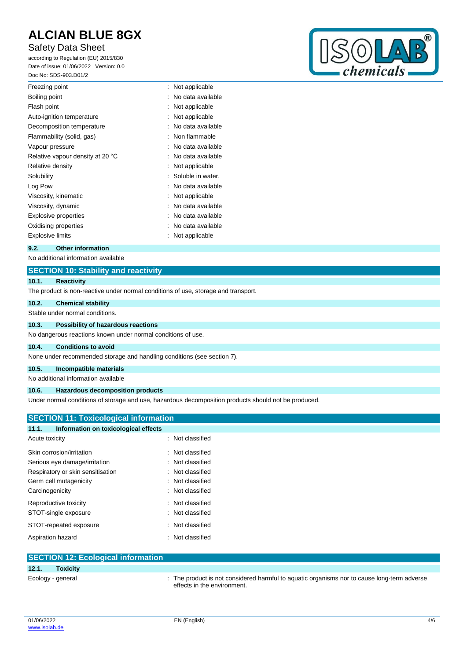# Safety Data Sheet

according to Regulation (EU) 2015/830 Date of issue: 01/06/2022 Version: 0.0 Doc No: SDS-903.D01/2



| Freezing point                   | Not applicable    |
|----------------------------------|-------------------|
| Boiling point                    | No data available |
| Flash point                      | Not applicable    |
| Auto-ignition temperature        | Not applicable    |
| Decomposition temperature        | No data available |
| Flammability (solid, gas)        | Non flammable     |
| Vapour pressure                  | No data available |
| Relative vapour density at 20 °C | No data available |
| Relative density                 | Not applicable    |
| Solubility                       | Soluble in water. |
| Log Pow                          | No data available |
| Viscosity, kinematic             | Not applicable    |
| Viscosity, dynamic               | No data available |
| <b>Explosive properties</b>      | No data available |
| Oxidising properties             | No data available |
| Explosive limits                 | Not applicable    |
|                                  |                   |

### **9.2. Other information**

No additional information available

## **SECTION 10: Stability and reactivity**

#### **10.1. Reactivity**

The product is non-reactive under normal conditions of use, storage and transport.

### **10.2. Chemical stability**

Stable under normal conditions.

### **10.3. Possibility of hazardous reactions**

No dangerous reactions known under normal conditions of use.

## **10.4. Conditions to avoid**

None under recommended storage and handling conditions (see section 7).

# **10.5. Incompatible materials**

No additional information available

## **10.6. Hazardous decomposition products**

Under normal conditions of storage and use, hazardous decomposition products should not be produced.

# **SECTION 11: Toxicological information 11.1. Information on toxicological effects** Acute toxicity in the set of the set of the set of the set of the set of the set of the set of the set of the set of the set of the set of the set of the set of the set of the set of the set of the set of the set of the se Skin corrosion/irritation : Not classified Serious eye damage/irritation : Not classified Respiratory or skin sensitisation : Not classified Germ cell mutagenicity **Example 20 Serm cell mutagenicity** and the series of  $\sim$  100 Sermicle 200 Sermicle 200 Sermicle 200 Sermicle 200 Sermicle 200 Sermicle 200 Sermicle 200 Sermicle 200 Sermicle 200 Sermicle 200 Sermic Carcinogenicity **Carcinogenicity 1999** Carcinogenicity **Carcinogenicity Carcinogenicity** Reproductive toxicity **in the case of the CRS** in Not classified STOT-single exposure in the state of the state of the STOT-single exposure

STOT-repeated exposure : Not classified

| Aspiration hazard                         | Not classified                                                                                                             |
|-------------------------------------------|----------------------------------------------------------------------------------------------------------------------------|
| <b>SECTION 12: Ecological information</b> |                                                                                                                            |
| <b>Toxicity</b><br>12.1.                  |                                                                                                                            |
| Ecology - general                         | : The product is not considered harmful to aquatic organisms nor to cause long-term adverse<br>effects in the environment. |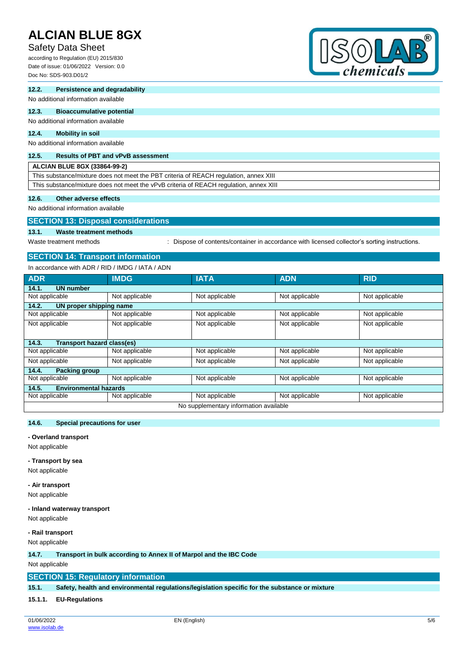# Safety Data Sheet

according to Regulation (EU) 2015/830 Date of issue: 01/06/2022 Version: 0.0 Doc No: SDS-903.D01/2



### **12.2. Persistence and degradability**

No additional information available

## **12.3. Bioaccumulative potential**

## No additional information available

### **12.4. Mobility in soil**

No additional information available

#### **12.5. Results of PBT and vPvB assessment**

**ALCIAN BLUE 8GX (33864-99-2)**

This substance/mixture does not meet the PBT criteria of REACH regulation, annex XIII This substance/mixture does not meet the vPvB criteria of REACH regulation, annex XIII

#### **12.6. Other adverse effects**

No additional information available

## **SECTION 13: Disposal considerations**

**13.1. Waste treatment methods**

Waste treatment methods : Dispose of contents/container in accordance with licensed collector's sorting instructions.

## **SECTION 14: Transport information**

In accordance with ADR / RID / IMDG / IATA / ADN

| <b>ADR</b>                             | <b>IMDG</b>                  | <b>IATA</b>    | <b>ADN</b>     | <b>RID</b>     |  |  |
|----------------------------------------|------------------------------|----------------|----------------|----------------|--|--|
| 14.1.<br><b>UN number</b>              |                              |                |                |                |  |  |
| Not applicable                         | Not applicable               | Not applicable | Not applicable | Not applicable |  |  |
| 14.2.<br>UN proper shipping name       |                              |                |                |                |  |  |
| Not applicable                         | Not applicable               | Not applicable | Not applicable | Not applicable |  |  |
| Not applicable                         | Not applicable               | Not applicable | Not applicable | Not applicable |  |  |
|                                        |                              |                |                |                |  |  |
| Transport hazard class(es)<br>14.3.    |                              |                |                |                |  |  |
| Not applicable                         | Not applicable               | Not applicable | Not applicable | Not applicable |  |  |
| Not applicable                         | Not applicable               | Not applicable | Not applicable | Not applicable |  |  |
| 14.4.<br><b>Packing group</b>          |                              |                |                |                |  |  |
| Not applicable                         | Not applicable               | Not applicable | Not applicable | Not applicable |  |  |
| 14.5.                                  | <b>Environmental hazards</b> |                |                |                |  |  |
| Not applicable                         | Not applicable               | Not applicable | Not applicable | Not applicable |  |  |
| No supplementary information available |                              |                |                |                |  |  |

### **14.6. Special precautions for user**

#### **- Overland transport**

Not applicable

#### **- Transport by sea**

Not applicable

#### **- Air transport**

Not applicable

#### **- Inland waterway transport**

Not applicable

#### **- Rail transport**

Not applicable

#### **14.7. Transport in bulk according to Annex II of Marpol and the IBC Code**

Not applicable

## **SECTION 15: Regulatory information**

**15.1. Safety, health and environmental regulations/legislation specific for the substance or mixture**

**15.1.1. EU-Regulations**